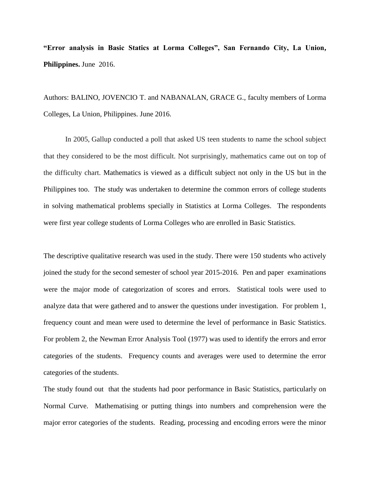**"Error analysis in Basic Statics at Lorma Colleges", San Fernando City, La Union, Philippines.** June 2016.

Authors: BALINO, JOVENCIO T. and NABANALAN, GRACE G., faculty members of Lorma Colleges, La Union, Philippines. June 2016.

In 2005, Gallup conducted a poll that asked US teen students to name the school subject that they considered to be the most difficult. Not surprisingly, mathematics came out on top of the difficulty chart. Mathematics is viewed as a difficult subject not only in the US but in the Philippines too. The study was undertaken to determine the common errors of college students in solving mathematical problems specially in Statistics at Lorma Colleges. The respondents were first year college students of Lorma Colleges who are enrolled in Basic Statistics.

The descriptive qualitative research was used in the study. There were 150 students who actively joined the study for the second semester of school year 2015-2016. Pen and paper examinations were the major mode of categorization of scores and errors. Statistical tools were used to analyze data that were gathered and to answer the questions under investigation. For problem 1, frequency count and mean were used to determine the level of performance in Basic Statistics. For problem 2, the Newman Error Analysis Tool (1977) was used to identify the errors and error categories of the students. Frequency counts and averages were used to determine the error categories of the students.

The study found out that the students had poor performance in Basic Statistics, particularly on Normal Curve. Mathematising or putting things into numbers and comprehension were the major error categories of the students. Reading, processing and encoding errors were the minor